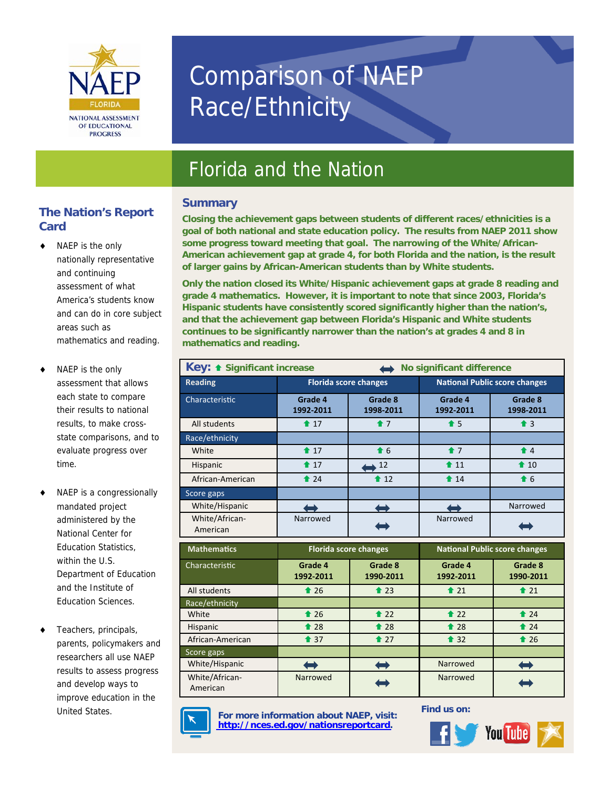

# Comparison of NAEP Race/Ethnicity

## Florida and the Nation

#### **Summary**

#### **The Nation's Report Card**

- NAEP is the only nationally representative and continuing assessment of what America's students know and can do in core subject areas such as mathematics and reading.
- NAEP is the only assessment that allows each state to compare their results to national results, to make crossstate comparisons, and to evaluate progress over time.
- NAEP is a congressionally mandated project administered by the National Center for Education Statistics, within the U.S. Department of Education and the Institute of Education Sciences.
- Teachers, principals, parents, policymakers and researchers all use NAEP results to assess progress and develop ways to improve education in the

**Closing the achievement gaps between students of different races/ethnicities is a goal of both national and state education policy. The results from NAEP 2011 show some progress toward meeting that goal. The narrowing of the White/African-American achievement gap at grade 4, for both Florida and the nation, is the result of larger gains by African-American students than by White students.** 

**Only the nation closed its White/Hispanic achievement gaps at grade 8 reading and grade 4 mathematics. However, it is important to note that since 2003, Florida's Hispanic students have consistently scored significantly higher than the nation's, and that the achievement gap between Florida's Hispanic and White students continues to be significantly narrower than the nation's at grades 4 and 8 in mathematics and reading.** 

| Key: + Significant increase<br>No significant difference |                                       |                      |                                       |                      |
|----------------------------------------------------------|---------------------------------------|----------------------|---------------------------------------|----------------------|
| <b>Reading</b>                                           | <b>Florida score changes</b>          |                      | <b>National Public score changes</b>  |                      |
| Characteristic                                           | Grade 4<br>1992-2011                  | Grade 8<br>1998-2011 | Grade 4<br>1992-2011                  | Grade 8<br>1998-2011 |
| All students                                             | $\textcolor{blue}{\bullet}$ 17        | $\bullet$ 7          | $\triangle$ 5                         | $\triangleq 3$       |
| Race/ethnicity                                           |                                       |                      |                                       |                      |
| White                                                    | $\textcolor{blue}{\bigstar}$ 17       | $\bullet$ 6          | $\bullet$ 7                           | $\triangleq$ 4       |
| Hispanic                                                 | $\textcolor{blue}{\blacktriangle}$ 17 | $\leftrightarrow$ 12 | $\textcolor{blue}{\blacktriangle}$ 11 | $\triangle$ 10       |
| African-American                                         | $\triangle$ 24                        | $\triangle$ 12       | $\textcolor{blue}{\bullet}$ 14        | $\bullet$ 6          |
| Score gaps                                               |                                       |                      |                                       |                      |
| White/Hispanic                                           |                                       |                      |                                       | Narrowed             |
| White/African-<br>American                               | Narrowed                              |                      | Narrowed                              |                      |
| <b>Mathematics</b>                                       | <b>Florida score changes</b>          |                      | <b>National Public score changes</b>  |                      |
| Characteristic                                           | Grade 4<br>1992-2011                  | Grade 8<br>1990-2011 | Grade 4<br>1992-2011                  | Grade 8<br>1990-2011 |
| All students                                             | $\triangle$ 26                        | $\triangle$ 23       | $\triangle$ 21                        | $\triangle$ 21       |
| Race/ethnicity                                           |                                       |                      |                                       |                      |
| White                                                    | $\triangle$ 26                        | $\triangle$ 22       | $\triangle$ 22                        | $\triangle$ 24       |
| Hispanic                                                 | $\triangle$ 28                        | $\triangle$ 28       | $\triangle$ 28                        | $\triangle$ 24       |
| African-American                                         | $\textcolor{blue}{\bullet}$ 37        | $\bullet$ 27         | $\textcolor{blue}{\bullet}$ 32        | $\triangle$ 26       |
| Score gaps                                               |                                       |                      |                                       |                      |
| White/Hispanic                                           |                                       |                      | Narrowed                              |                      |
| White/African-                                           | Narrowed                              |                      | Narrowed                              |                      |



United States. **For more information about NAEP**, visit: **http://nces.ed.gov/nationsreportcard.** 

**Find us on:**